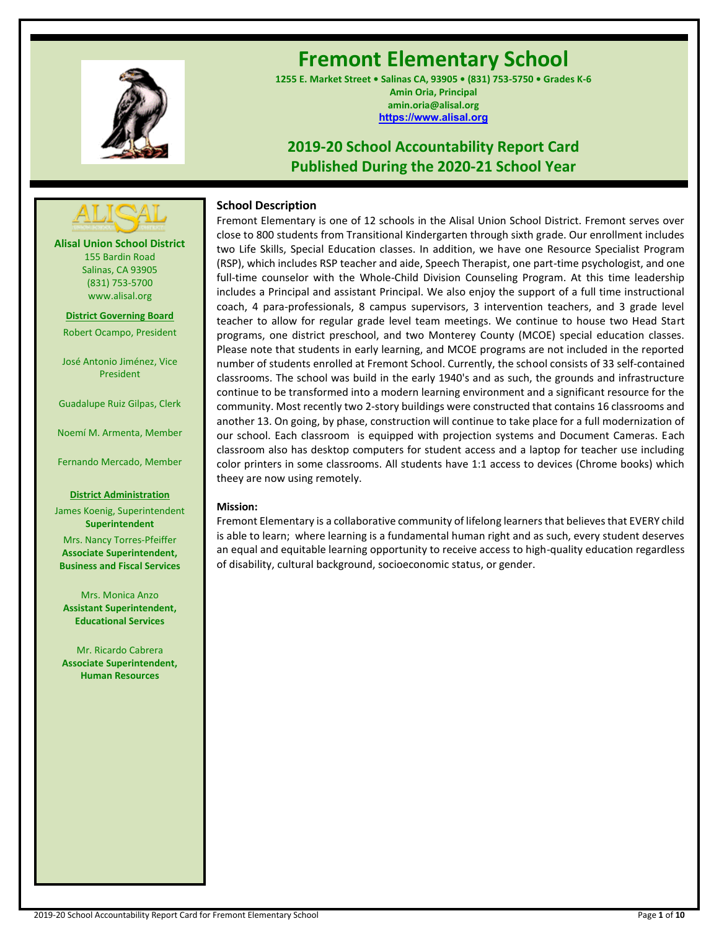

# **Fremont Elementary School**

**1255 E. Market Street • Salinas CA, 93905 • (831) 753-5750 • Grades K-6 Amin Oria, Principal amin.oria@alisal.org [https://www.alisal.org](https://www.alisal.org/)**

## **2019-20 School Accountability Report Card Published During the 2020-21 School Year**



**Alisal Union School District** 155 Bardin Road Salinas, CA 93905 (831) 753-5700 www.alisal.org

**District Governing Board**

Robert Ocampo, President

José Antonio Jiménez, Vice President

Guadalupe Ruiz Gilpas, Clerk

Noemí M. Armenta, Member

Fernando Mercado, Member

#### **District Administration**

James Koenig, Superintendent **Superintendent** Mrs. Nancy Torres-Pfeiffer **Associate Superintendent, Business and Fiscal Services**

Mrs. Monica Anzo **Assistant Superintendent, Educational Services**

Mr. Ricardo Cabrera **Associate Superintendent, Human Resources**

## **School Description**

Fremont Elementary is one of 12 schools in the Alisal Union School District. Fremont serves over close to 800 students from Transitional Kindergarten through sixth grade. Our enrollment includes two Life Skills, Special Education classes. In addition, we have one Resource Specialist Program (RSP), which includes RSP teacher and aide, Speech Therapist, one part-time psychologist, and one full-time counselor with the Whole-Child Division Counseling Program. At this time leadership includes a Principal and assistant Principal. We also enjoy the support of a full time instructional coach, 4 para-professionals, 8 campus supervisors, 3 intervention teachers, and 3 grade level teacher to allow for regular grade level team meetings. We continue to house two Head Start programs, one district preschool, and two Monterey County (MCOE) special education classes. Please note that students in early learning, and MCOE programs are not included in the reported number of students enrolled at Fremont School. Currently, the school consists of 33 self-contained classrooms. The school was build in the early 1940's and as such, the grounds and infrastructure continue to be transformed into a modern learning environment and a significant resource for the community. Most recently two 2-story buildings were constructed that contains 16 classrooms and another 13. On going, by phase, construction will continue to take place for a full modernization of our school. Each classroom is equipped with projection systems and Document Cameras. Each classroom also has desktop computers for student access and a laptop for teacher use including color printers in some classrooms. All students have 1:1 access to devices (Chrome books) which theey are now using remotely.

#### **Mission:**

Fremont Elementary is a collaborative community of lifelong learners that believes that EVERY child is able to learn; where learning is a fundamental human right and as such, every student deserves an equal and equitable learning opportunity to receive access to high-quality education regardless of disability, cultural background, socioeconomic status, or gender.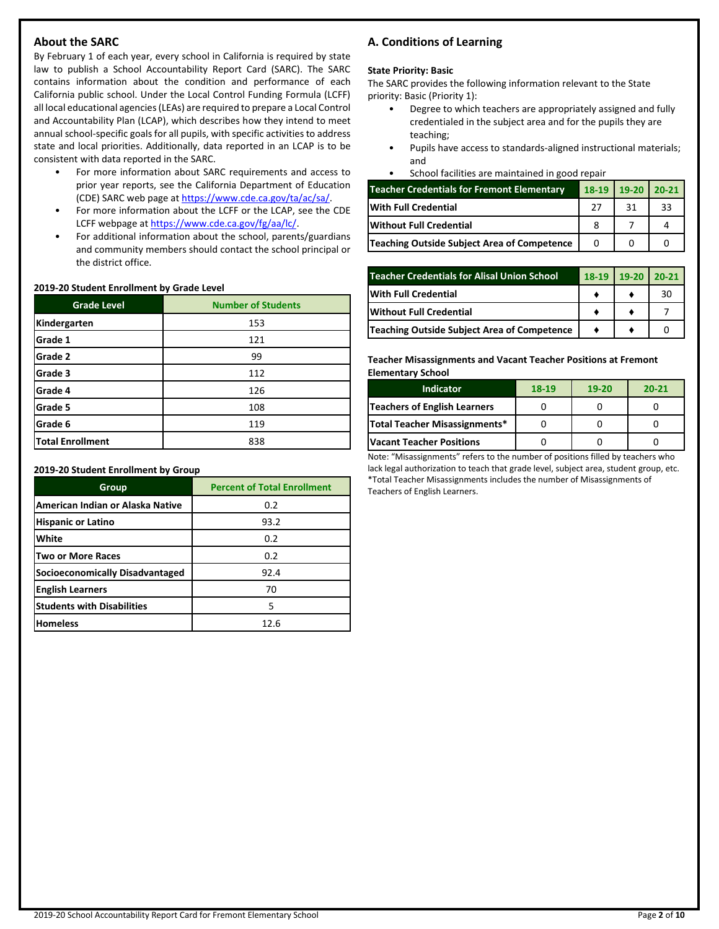## **About the SARC**

By February 1 of each year, every school in California is required by state law to publish a School Accountability Report Card (SARC). The SARC contains information about the condition and performance of each California public school. Under the Local Control Funding Formula (LCFF) all local educational agencies (LEAs) are required to prepare a Local Control and Accountability Plan (LCAP), which describes how they intend to meet annual school-specific goals for all pupils, with specific activities to address state and local priorities. Additionally, data reported in an LCAP is to be consistent with data reported in the SARC.

- For more information about SARC requirements and access to prior year reports, see the California Department of Education (CDE) SARC web page at [https://www.cde.ca.gov/ta/ac/sa/.](https://www.cde.ca.gov/ta/ac/sa/)
- For more information about the LCFF or the LCAP, see the CDE LCFF webpage a[t https://www.cde.ca.gov/fg/aa/lc/.](https://www.cde.ca.gov/fg/aa/lc/)
- For additional information about the school, parents/guardians and community members should contact the school principal or the district office.

#### **2019-20 Student Enrollment by Grade Level**

| <b>Grade Level</b>      | <b>Number of Students</b> |
|-------------------------|---------------------------|
| Kindergarten            | 153                       |
| Grade 1                 | 121                       |
| Grade 2                 | 99                        |
| Grade 3                 | 112                       |
| Grade 4                 | 126                       |
| Grade 5                 | 108                       |
| Grade 6                 | 119                       |
| <b>Total Enrollment</b> | 838                       |

**2019-20 Student Enrollment by Group**

| Group                             | <b>Percent of Total Enrollment</b> |
|-----------------------------------|------------------------------------|
| American Indian or Alaska Native  | 0.2                                |
| <b>Hispanic or Latino</b>         | 93.2                               |
| White                             | 0.2                                |
| Two or More Races                 | 0.2                                |
| Socioeconomically Disadvantaged   | 92.4                               |
| <b>English Learners</b>           | 70                                 |
| <b>Students with Disabilities</b> | 5                                  |
| <b>Homeless</b>                   | 12.6                               |

## **A. Conditions of Learning**

#### **State Priority: Basic**

The SARC provides the following information relevant to the State priority: Basic (Priority 1):

- Degree to which teachers are appropriately assigned and fully credentialed in the subject area and for the pupils they are teaching;
- Pupils have access to standards-aligned instructional materials; and
- School facilities are maintained in good repair

| <b>Teacher Credentials for Fremont Elementary</b> | $18-19$ | $19-20$ 20-21 |    |
|---------------------------------------------------|---------|---------------|----|
| <b>With Full Credential</b>                       | 27      | 31            | 33 |
| <b>IWithout Full Credential</b>                   |         |               |    |
| Teaching Outside Subject Area of Competence       |         |               |    |

| <b>Teacher Credentials for Alisal Union School</b> | $18-19$ 19-20 | $20-21$ |
|----------------------------------------------------|---------------|---------|
| With Full Credential                               |               | 30      |
| Without Full Credential                            |               |         |
| Teaching Outside Subject Area of Competence        |               |         |

**Teacher Misassignments and Vacant Teacher Positions at Fremont Elementary School**

| <b>Indicator</b>                | 18-19 | $19-20$ | $20 - 21$ |
|---------------------------------|-------|---------|-----------|
| Teachers of English Learners    |       |         |           |
| Total Teacher Misassignments*   |       |         |           |
| <b>Vacant Teacher Positions</b> |       |         |           |

Note: "Misassignments" refers to the number of positions filled by teachers who lack legal authorization to teach that grade level, subject area, student group, etc. \*Total Teacher Misassignments includes the number of Misassignments of Teachers of English Learners.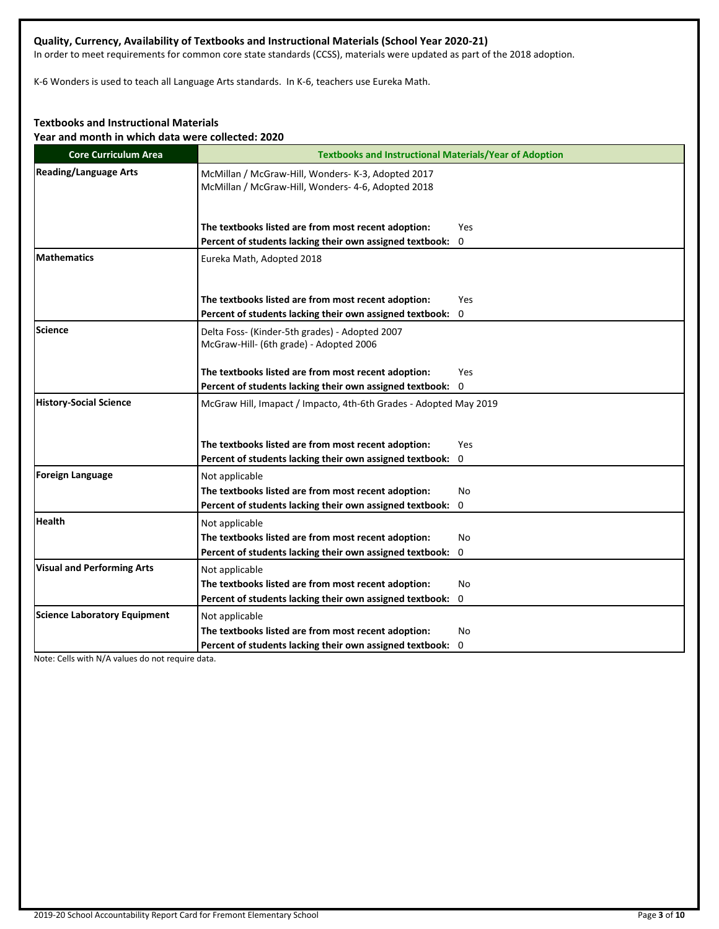## **Quality, Currency, Availability of Textbooks and Instructional Materials (School Year 2020-21)**

In order to meet requirements for common core state standards (CCSS), materials were updated as part of the 2018 adoption.

K-6 Wonders is used to teach all Language Arts standards. In K-6, teachers use Eureka Math.

## **Textbooks and Instructional Materials**

**Year and month in which data were collected: 2020**

| <b>Core Curriculum Area</b>         | <b>Textbooks and Instructional Materials/Year of Adoption</b>                                            |
|-------------------------------------|----------------------------------------------------------------------------------------------------------|
| <b>Reading/Language Arts</b>        | McMillan / McGraw-Hill, Wonders- K-3, Adopted 2017<br>McMillan / McGraw-Hill, Wonders- 4-6, Adopted 2018 |
|                                     | The textbooks listed are from most recent adoption:<br><b>Yes</b>                                        |
|                                     | Percent of students lacking their own assigned textbook:<br>0                                            |
| <b>Mathematics</b>                  | Eureka Math, Adopted 2018                                                                                |
|                                     | The textbooks listed are from most recent adoption:<br>Yes                                               |
|                                     | Percent of students lacking their own assigned textbook: 0                                               |
| Science                             | Delta Foss- (Kinder-5th grades) - Adopted 2007<br>McGraw-Hill- (6th grade) - Adopted 2006                |
|                                     | The textbooks listed are from most recent adoption:<br>Yes                                               |
|                                     | Percent of students lacking their own assigned textbook: 0                                               |
| <b>History-Social Science</b>       | McGraw Hill, Imapact / Impacto, 4th-6th Grades - Adopted May 2019                                        |
|                                     | The textbooks listed are from most recent adoption:<br>Yes                                               |
|                                     | Percent of students lacking their own assigned textbook: 0                                               |
| <b>Foreign Language</b>             | Not applicable                                                                                           |
|                                     | The textbooks listed are from most recent adoption:<br>No                                                |
|                                     | Percent of students lacking their own assigned textbook:<br>0                                            |
| <b>Health</b>                       | Not applicable                                                                                           |
|                                     | The textbooks listed are from most recent adoption:<br><b>No</b>                                         |
|                                     | Percent of students lacking their own assigned textbook:<br>0                                            |
| <b>Visual and Performing Arts</b>   | Not applicable                                                                                           |
|                                     | The textbooks listed are from most recent adoption:<br>No                                                |
|                                     | Percent of students lacking their own assigned textbook: 0                                               |
| <b>Science Laboratory Equipment</b> | Not applicable                                                                                           |
|                                     | The textbooks listed are from most recent adoption:<br>No                                                |
|                                     | Percent of students lacking their own assigned textbook: 0                                               |

Note: Cells with N/A values do not require data.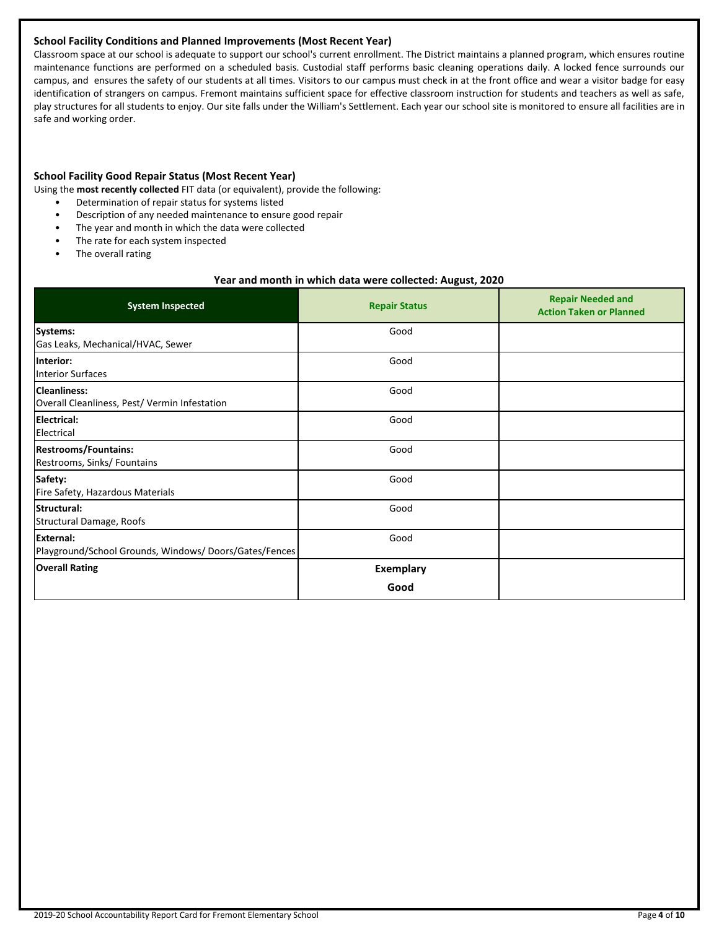## **School Facility Conditions and Planned Improvements (Most Recent Year)**

Classroom space at our school is adequate to support our school's current enrollment. The District maintains a planned program, which ensures routine maintenance functions are performed on a scheduled basis. Custodial staff performs basic cleaning operations daily. A locked fence surrounds our campus, and ensures the safety of our students at all times. Visitors to our campus must check in at the front office and wear a visitor badge for easy identification of strangers on campus. Fremont maintains sufficient space for effective classroom instruction for students and teachers as well as safe, play structures for all students to enjoy. Our site falls under the William's Settlement. Each year our school site is monitored to ensure all facilities are in safe and working order.

## **School Facility Good Repair Status (Most Recent Year)**

Using the **most recently collected** FIT data (or equivalent), provide the following:

- Determination of repair status for systems listed
- Description of any needed maintenance to ensure good repair
- The year and month in which the data were collected
- The rate for each system inspected
- The overall rating

#### **Year and month in which data were collected: August, 2020**

| <b>System Inspected</b>                                            | <b>Repair Status</b>     | <b>Repair Needed and</b><br><b>Action Taken or Planned</b> |
|--------------------------------------------------------------------|--------------------------|------------------------------------------------------------|
| Systems:<br>Gas Leaks, Mechanical/HVAC, Sewer                      | Good                     |                                                            |
| Interior:<br><b>Interior Surfaces</b>                              | Good                     |                                                            |
| Cleanliness:<br>Overall Cleanliness, Pest/ Vermin Infestation      | Good                     |                                                            |
| <b>Electrical:</b><br>Electrical                                   | Good                     |                                                            |
| <b>Restrooms/Fountains:</b><br>Restrooms, Sinks/ Fountains         | Good                     |                                                            |
| Safety:<br>Fire Safety, Hazardous Materials                        | Good                     |                                                            |
| Structural:<br>Structural Damage, Roofs                            | Good                     |                                                            |
| External:<br>Playground/School Grounds, Windows/Doors/Gates/Fences | Good                     |                                                            |
| <b>Overall Rating</b>                                              | <b>Exemplary</b><br>Good |                                                            |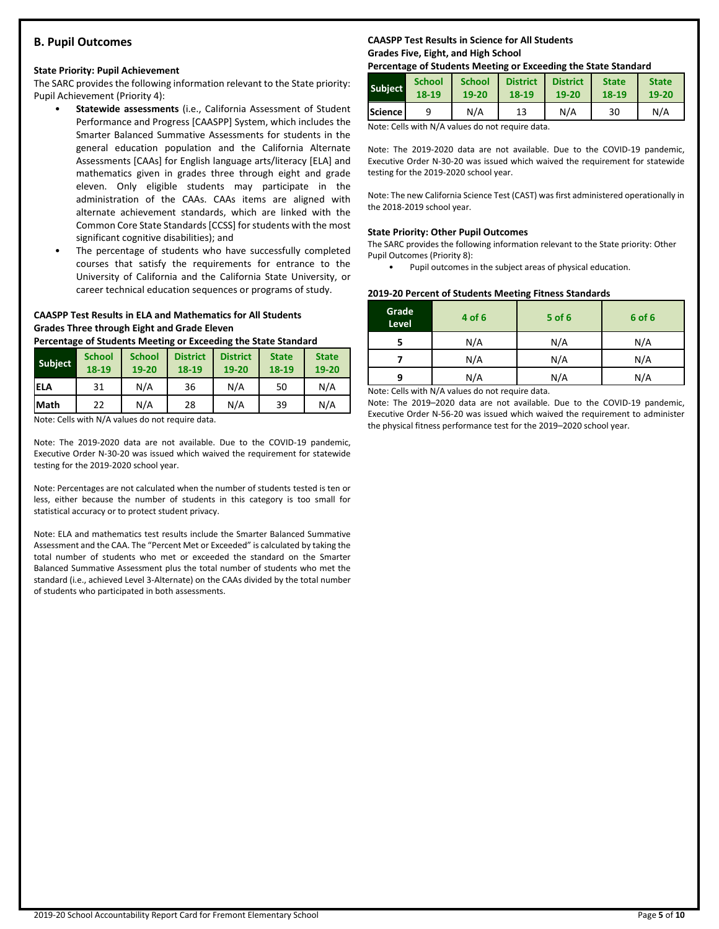## **B. Pupil Outcomes**

## **State Priority: Pupil Achievement**

The SARC provides the following information relevant to the State priority: Pupil Achievement (Priority 4):

- **Statewide assessments** (i.e., California Assessment of Student Performance and Progress [CAASPP] System, which includes the Smarter Balanced Summative Assessments for students in the general education population and the California Alternate Assessments [CAAs] for English language arts/literacy [ELA] and mathematics given in grades three through eight and grade eleven. Only eligible students may participate in the administration of the CAAs. CAAs items are aligned with alternate achievement standards, which are linked with the Common Core State Standards [CCSS] for students with the most significant cognitive disabilities); and
- The percentage of students who have successfully completed courses that satisfy the requirements for entrance to the University of California and the California State University, or career technical education sequences or programs of study.

## **CAASPP Test Results in ELA and Mathematics for All Students Grades Three through Eight and Grade Eleven**

**Percentage of Students Meeting or Exceeding the State Standard**

| <b>Subject</b> | <b>School</b><br>18-19 | <b>School</b><br>19-20 | <b>District</b><br>18-19 | <b>District</b><br>19-20 | <b>State</b><br>18-19 | <b>State</b><br>19-20 |
|----------------|------------------------|------------------------|--------------------------|--------------------------|-----------------------|-----------------------|
| ELA            | 31                     | N/A                    | 36                       | N/A                      | 50                    | N/A                   |
| <b>Math</b>    | 22                     | N/A                    | 28                       | N/A                      | 39                    | N/A                   |

Note: Cells with N/A values do not require data.

Note: The 2019-2020 data are not available. Due to the COVID-19 pandemic, Executive Order N-30-20 was issued which waived the requirement for statewide testing for the 2019-2020 school year.

Note: Percentages are not calculated when the number of students tested is ten or less, either because the number of students in this category is too small for statistical accuracy or to protect student privacy.

Note: ELA and mathematics test results include the Smarter Balanced Summative Assessment and the CAA. The "Percent Met or Exceeded" is calculated by taking the total number of students who met or exceeded the standard on the Smarter Balanced Summative Assessment plus the total number of students who met the standard (i.e., achieved Level 3-Alternate) on the CAAs divided by the total number of students who participated in both assessments.

## **CAASPP Test Results in Science for All Students Grades Five, Eight, and High School**

## **Percentage of Students Meeting or Exceeding the State Standard**

| <b>Subject</b> | <b>School</b> | <b>School</b> | <b>District</b> | <b>District</b> | <b>State</b> | <b>State</b> |
|----------------|---------------|---------------|-----------------|-----------------|--------------|--------------|
|                | 18-19         | 19-20         | 18-19           | 19-20           | 18-19        | 19-20        |
| Science l      |               | N/A           | 13              | N/A             | 30           | N/A          |

Note: Cells with N/A values do not require data.

Note: The 2019-2020 data are not available. Due to the COVID-19 pandemic, Executive Order N-30-20 was issued which waived the requirement for statewide testing for the 2019-2020 school year.

Note: The new California Science Test (CAST) was first administered operationally in the 2018-2019 school year.

## **State Priority: Other Pupil Outcomes**

The SARC provides the following information relevant to the State priority: Other Pupil Outcomes (Priority 8):

Pupil outcomes in the subject areas of physical education.

## **2019-20 Percent of Students Meeting Fitness Standards**

| Grade<br>Level | 4 of 6                                          | $5$ of $6$ | 6 of 6 |
|----------------|-------------------------------------------------|------------|--------|
|                | N/A                                             | N/A        | N/A    |
|                | N/A                                             | N/A        | N/A    |
| q              | N/A                                             | N/A        | N/A    |
|                | Nota: Colle with N/A volves do not require data |            |        |

Note: Cells with N/A values do not require data.

Note: The 2019–2020 data are not available. Due to the COVID-19 pandemic, Executive Order N-56-20 was issued which waived the requirement to administer the physical fitness performance test for the 2019–2020 school year.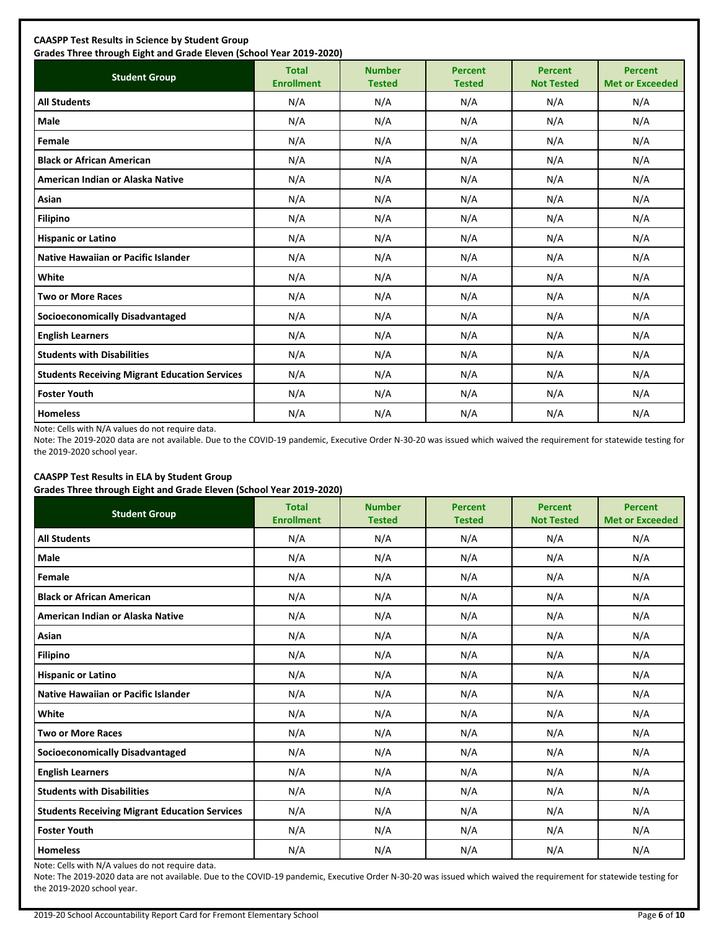| <b>Student Group</b>                                 | <b>Total</b><br><b>Enrollment</b> | <b>Number</b><br><b>Tested</b> | <b>Percent</b><br><b>Tested</b> | <b>Percent</b><br><b>Not Tested</b> | <b>Percent</b><br><b>Met or Exceeded</b> |
|------------------------------------------------------|-----------------------------------|--------------------------------|---------------------------------|-------------------------------------|------------------------------------------|
| <b>All Students</b>                                  | N/A                               | N/A                            | N/A                             | N/A                                 | N/A                                      |
| Male                                                 | N/A                               | N/A                            | N/A                             | N/A                                 | N/A                                      |
| Female                                               | N/A                               | N/A                            | N/A                             | N/A                                 | N/A                                      |
| <b>Black or African American</b>                     | N/A                               | N/A                            | N/A                             | N/A                                 | N/A                                      |
| American Indian or Alaska Native                     | N/A                               | N/A                            | N/A                             | N/A                                 | N/A                                      |
| Asian                                                | N/A                               | N/A                            | N/A                             | N/A                                 | N/A                                      |
| <b>Filipino</b>                                      | N/A                               | N/A                            | N/A                             | N/A                                 | N/A                                      |
| <b>Hispanic or Latino</b>                            | N/A                               | N/A                            | N/A                             | N/A                                 | N/A                                      |
| Native Hawaiian or Pacific Islander                  | N/A                               | N/A                            | N/A                             | N/A                                 | N/A                                      |
| White                                                | N/A                               | N/A                            | N/A                             | N/A                                 | N/A                                      |
| <b>Two or More Races</b>                             | N/A                               | N/A                            | N/A                             | N/A                                 | N/A                                      |
| <b>Socioeconomically Disadvantaged</b>               | N/A                               | N/A                            | N/A                             | N/A                                 | N/A                                      |
| <b>English Learners</b>                              | N/A                               | N/A                            | N/A                             | N/A                                 | N/A                                      |
| <b>Students with Disabilities</b>                    | N/A                               | N/A                            | N/A                             | N/A                                 | N/A                                      |
| <b>Students Receiving Migrant Education Services</b> | N/A                               | N/A                            | N/A                             | N/A                                 | N/A                                      |
| <b>Foster Youth</b>                                  | N/A                               | N/A                            | N/A                             | N/A                                 | N/A                                      |
| <b>Homeless</b>                                      | N/A                               | N/A                            | N/A                             | N/A                                 | N/A                                      |

Note: Cells with N/A values do not require data.

Note: The 2019-2020 data are not available. Due to the COVID-19 pandemic, Executive Order N-30-20 was issued which waived the requirement for statewide testing for the 2019-2020 school year.

## **CAASPP Test Results in ELA by Student Group**

**Grades Three through Eight and Grade Eleven (School Year 2019-2020)**

| <b>Student Group</b>                                 | .,<br><b>Total</b><br><b>Enrollment</b> | <b>Number</b><br><b>Tested</b> | <b>Percent</b><br><b>Tested</b> | <b>Percent</b><br><b>Not Tested</b> | <b>Percent</b><br><b>Met or Exceeded</b> |
|------------------------------------------------------|-----------------------------------------|--------------------------------|---------------------------------|-------------------------------------|------------------------------------------|
| <b>All Students</b>                                  | N/A                                     | N/A                            | N/A                             | N/A                                 | N/A                                      |
| Male                                                 | N/A                                     | N/A                            | N/A                             | N/A                                 | N/A                                      |
| Female                                               | N/A                                     | N/A                            | N/A                             | N/A                                 | N/A                                      |
| <b>Black or African American</b>                     | N/A                                     | N/A                            | N/A                             | N/A                                 | N/A                                      |
| American Indian or Alaska Native                     | N/A                                     | N/A                            | N/A                             | N/A                                 | N/A                                      |
| Asian                                                | N/A                                     | N/A                            | N/A                             | N/A                                 | N/A                                      |
| <b>Filipino</b>                                      | N/A                                     | N/A                            | N/A                             | N/A                                 | N/A                                      |
| <b>Hispanic or Latino</b>                            | N/A                                     | N/A                            | N/A                             | N/A                                 | N/A                                      |
| Native Hawaiian or Pacific Islander                  | N/A                                     | N/A                            | N/A                             | N/A                                 | N/A                                      |
| White                                                | N/A                                     | N/A                            | N/A                             | N/A                                 | N/A                                      |
| <b>Two or More Races</b>                             | N/A                                     | N/A                            | N/A                             | N/A                                 | N/A                                      |
| <b>Socioeconomically Disadvantaged</b>               | N/A                                     | N/A                            | N/A                             | N/A                                 | N/A                                      |
| <b>English Learners</b>                              | N/A                                     | N/A                            | N/A                             | N/A                                 | N/A                                      |
| <b>Students with Disabilities</b>                    | N/A                                     | N/A                            | N/A                             | N/A                                 | N/A                                      |
| <b>Students Receiving Migrant Education Services</b> | N/A                                     | N/A                            | N/A                             | N/A                                 | N/A                                      |
| <b>Foster Youth</b>                                  | N/A                                     | N/A                            | N/A                             | N/A                                 | N/A                                      |
| <b>Homeless</b>                                      | N/A                                     | N/A                            | N/A                             | N/A                                 | N/A                                      |

Note: Cells with N/A values do not require data.

Note: The 2019-2020 data are not available. Due to the COVID-19 pandemic, Executive Order N-30-20 was issued which waived the requirement for statewide testing for the 2019-2020 school year.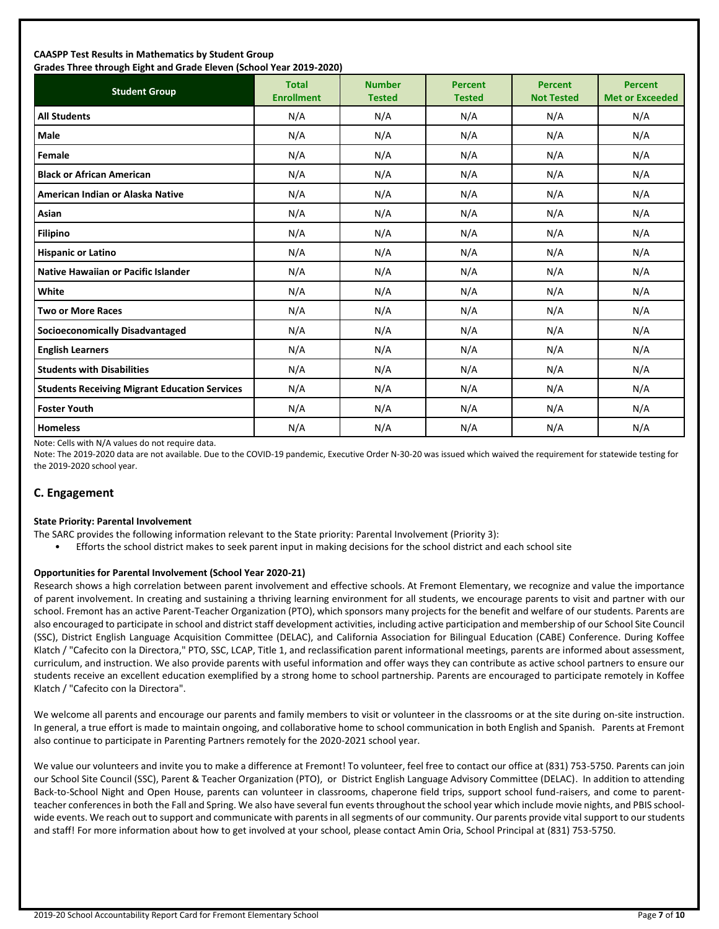#### **CAASPP Test Results in Mathematics by Student Group Grades Three through Eight and Grade Eleven (School Year 2019-2020)**

| Grades Timed through Eight and Grade Eleven (School Tear 2019-2020)<br><b>Student Group</b> | <b>Total</b><br><b>Enrollment</b> | <b>Number</b><br><b>Tested</b> | <b>Percent</b><br><b>Tested</b> | <b>Percent</b><br><b>Not Tested</b> | <b>Percent</b><br><b>Met or Exceeded</b> |
|---------------------------------------------------------------------------------------------|-----------------------------------|--------------------------------|---------------------------------|-------------------------------------|------------------------------------------|
| <b>All Students</b>                                                                         | N/A                               | N/A                            | N/A                             | N/A                                 | N/A                                      |
| Male                                                                                        | N/A                               | N/A                            | N/A                             | N/A                                 | N/A                                      |
| Female                                                                                      | N/A                               | N/A                            | N/A                             | N/A                                 | N/A                                      |
| <b>Black or African American</b>                                                            | N/A                               | N/A                            | N/A                             | N/A                                 | N/A                                      |
| American Indian or Alaska Native                                                            | N/A                               | N/A                            | N/A                             | N/A                                 | N/A                                      |
| Asian                                                                                       | N/A                               | N/A                            | N/A                             | N/A                                 | N/A                                      |
| <b>Filipino</b>                                                                             | N/A                               | N/A                            | N/A                             | N/A                                 | N/A                                      |
| <b>Hispanic or Latino</b>                                                                   | N/A                               | N/A                            | N/A                             | N/A                                 | N/A                                      |
| <b>Native Hawaiian or Pacific Islander</b>                                                  | N/A                               | N/A                            | N/A                             | N/A                                 | N/A                                      |
| White                                                                                       | N/A                               | N/A                            | N/A                             | N/A                                 | N/A                                      |
| <b>Two or More Races</b>                                                                    | N/A                               | N/A                            | N/A                             | N/A                                 | N/A                                      |
| <b>Socioeconomically Disadvantaged</b>                                                      | N/A                               | N/A                            | N/A                             | N/A                                 | N/A                                      |
| <b>English Learners</b>                                                                     | N/A                               | N/A                            | N/A                             | N/A                                 | N/A                                      |
| <b>Students with Disabilities</b>                                                           | N/A                               | N/A                            | N/A                             | N/A                                 | N/A                                      |
| <b>Students Receiving Migrant Education Services</b>                                        | N/A                               | N/A                            | N/A                             | N/A                                 | N/A                                      |
| <b>Foster Youth</b>                                                                         | N/A                               | N/A                            | N/A                             | N/A                                 | N/A                                      |
| <b>Homeless</b>                                                                             | N/A                               | N/A                            | N/A                             | N/A                                 | N/A                                      |

Note: Cells with N/A values do not require data.

Note: The 2019-2020 data are not available. Due to the COVID-19 pandemic, Executive Order N-30-20 was issued which waived the requirement for statewide testing for the 2019-2020 school year.

## **C. Engagement**

#### **State Priority: Parental Involvement**

- The SARC provides the following information relevant to the State priority: Parental Involvement (Priority 3):
	- Efforts the school district makes to seek parent input in making decisions for the school district and each school site

#### **Opportunities for Parental Involvement (School Year 2020-21)**

Research shows a high correlation between parent involvement and effective schools. At Fremont Elementary, we recognize and value the importance of parent involvement. In creating and sustaining a thriving learning environment for all students, we encourage parents to visit and partner with our school. Fremont has an active Parent-Teacher Organization (PTO), which sponsors many projects for the benefit and welfare of our students. Parents are also encouraged to participate in school and district staff development activities, including active participation and membership of our School Site Council (SSC), District English Language Acquisition Committee (DELAC), and California Association for Bilingual Education (CABE) Conference. During Koffee Klatch / "Cafecito con la Directora," PTO, SSC, LCAP, Title 1, and reclassification parent informational meetings, parents are informed about assessment, curriculum, and instruction. We also provide parents with useful information and offer ways they can contribute as active school partners to ensure our students receive an excellent education exemplified by a strong home to school partnership. Parents are encouraged to participate remotely in Koffee Klatch / "Cafecito con la Directora".

We welcome all parents and encourage our parents and family members to visit or volunteer in the classrooms or at the site during on-site instruction. In general, a true effort is made to maintain ongoing, and collaborative home to school communication in both English and Spanish. Parents at Fremont also continue to participate in Parenting Partners remotely for the 2020-2021 school year.

We value our volunteers and invite you to make a difference at Fremont! To volunteer, feel free to contact our office at (831) 753-5750. Parents can join our School Site Council (SSC), Parent & Teacher Organization (PTO), or District English Language Advisory Committee (DELAC). In addition to attending Back-to-School Night and Open House, parents can volunteer in classrooms, chaperone field trips, support school fund-raisers, and come to parentteacher conferences in both the Fall and Spring. We also have several fun events throughout the school year which include movie nights, and PBIS schoolwide events. We reach out to support and communicate with parents in all segments of our community. Our parents provide vital support to our students and staff! For more information about how to get involved at your school, please contact Amin Oria, School Principal at (831) 753-5750.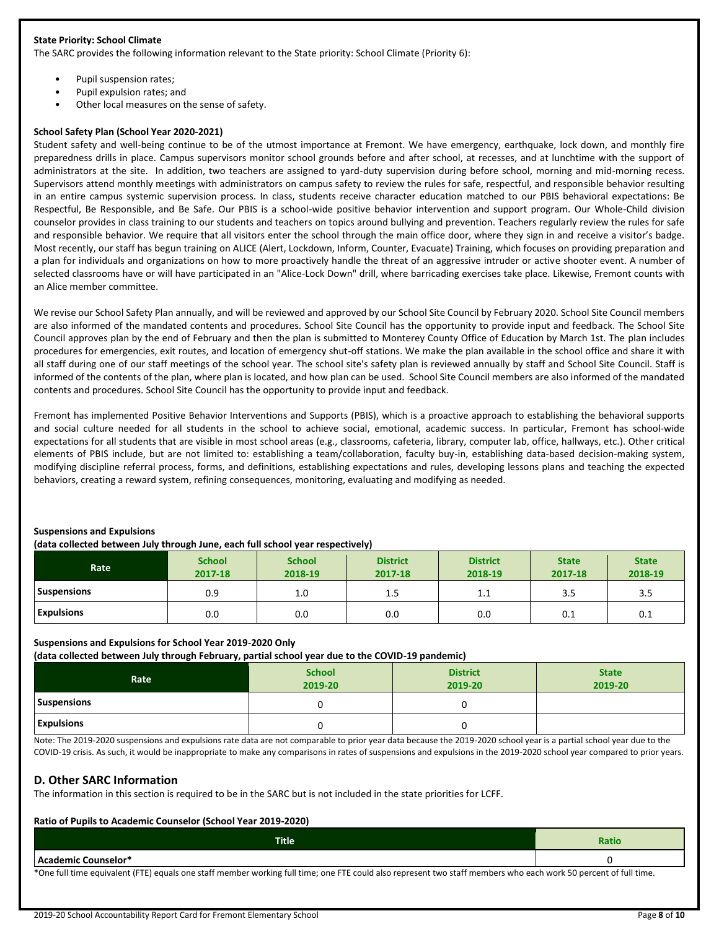#### **State Priority: School Climate**

The SARC provides the following information relevant to the State priority: School Climate (Priority 6):

- Pupil suspension rates;
- Pupil expulsion rates; and
- Other local measures on the sense of safety.

#### **School Safety Plan (School Year 2020-2021)**

Student safety and well-being continue to be of the utmost importance at Fremont. We have emergency, earthquake, lock down, and monthly fire preparedness drills in place. Campus supervisors monitor school grounds before and after school, at recesses, and at lunchtime with the support of administrators at the site. In addition, two teachers are assigned to yard-duty supervision during before school, morning and mid-morning recess. Supervisors attend monthly meetings with administrators on campus safety to review the rules for safe, respectful, and responsible behavior resulting in an entire campus systemic supervision process. In class, students receive character education matched to our PBIS behavioral expectations: Be Respectful, Be Responsible, and Be Safe. Our PBIS is a school-wide positive behavior intervention and support program. Our Whole-Child division counselor provides in class training to our students and teachers on topics around bullying and prevention. Teachers regularly review the rules for safe and responsible behavior. We require that all visitors enter the school through the main office door, where they sign in and receive a visitor's badge. Most recently, our staff has begun training on ALICE (Alert, Lockdown, Inform, Counter, Evacuate) Training, which focuses on providing preparation and a plan for individuals and organizations on how to more proactively handle the threat of an aggressive intruder or active shooter event. A number of selected classrooms have or will have participated in an "Alice-Lock Down" drill, where barricading exercises take place. Likewise, Fremont counts with an Alice member committee.

We revise our School Safety Plan annually, and will be reviewed and approved by our School Site Council by February 2020. School Site Council members are also informed of the mandated contents and procedures. School Site Council has the opportunity to provide input and feedback. The School Site Council approves plan by the end of February and then the plan is submitted to Monterey County Office of Education by March 1st. The plan includes procedures for emergencies, exit routes, and location of emergency shut-off stations. We make the plan available in the school office and share it with all staff during one of our staff meetings of the school year. The school site's safety plan is reviewed annually by staff and School Site Council. Staff is informed of the contents of the plan, where plan is located, and how plan can be used. School Site Council members are also informed of the mandated contents and procedures. School Site Council has the opportunity to provide input and feedback.

Fremont has implemented Positive Behavior Interventions and Supports (PBIS), which is a proactive approach to establishing the behavioral supports and social culture needed for all students in the school to achieve social, emotional, academic success. In particular, Fremont has school-wide expectations for all students that are visible in most school areas (e.g., classrooms, cafeteria, library, computer lab, office, hallways, etc.). Other critical elements of PBIS include, but are not limited to: establishing a team/collaboration, faculty buy-in, establishing data-based decision-making system, modifying discipline referral process, forms, and definitions, establishing expectations and rules, developing lessons plans and teaching the expected behaviors, creating a reward system, refining consequences, monitoring, evaluating and modifying as needed.

#### **Suspensions and Expulsions**

#### **(data collected between July through June, each full school year respectively)**

| Rate               | <b>School</b><br>2017-18 | <b>School</b><br>2018-19 | <b>District</b><br>2017-18 | <b>District</b><br>2018-19 | <b>State</b><br>2017-18 | <b>State</b><br>2018-19 |
|--------------------|--------------------------|--------------------------|----------------------------|----------------------------|-------------------------|-------------------------|
| <b>Suspensions</b> | 0.9                      | 1.0                      | 1.5                        | 1.1                        | 3.5                     | 3.5                     |
| <b>Expulsions</b>  | 0.0                      | 0.0                      | 0.0                        | 0.0                        | 0.1                     | 0.1                     |

#### **Suspensions and Expulsions for School Year 2019-2020 Only**

**(data collected between July through February, partial school year due to the COVID-19 pandemic)**

| $\sim$<br>.<br>Rate | <b>School</b><br>2019-20 | <b>District</b><br>2019-20 | <b>State</b><br>2019-20 |
|---------------------|--------------------------|----------------------------|-------------------------|
| Suspensions         |                          |                            |                         |
| <b>Expulsions</b>   |                          |                            |                         |

Note: The 2019-2020 suspensions and expulsions rate data are not comparable to prior year data because the 2019-2020 school year is a partial school year due to the COVID-19 crisis. As such, it would be inappropriate to make any comparisons in rates of suspensions and expulsions in the 2019-2020 school year compared to prior years.

#### **D. Other SARC Information**

The information in this section is required to be in the SARC but is not included in the state priorities for LCFF.

#### **Ratio of Pupils to Academic Counselor (School Year 2019-2020)**

|                                                                                                          | <b>Title</b> | vauv |
|----------------------------------------------------------------------------------------------------------|--------------|------|
| lemic Counselor*<br>$\epsilon$<br>$\sim$ $\sim$ $\sim$ $\sim$<br>also and the<br>$\sim$<br>.<br>$\cdots$ |              |      |

\*One full time equivalent (FTE) equals one staff member working full time; one FTE could also represent two staff members who each work 50 percent of full time.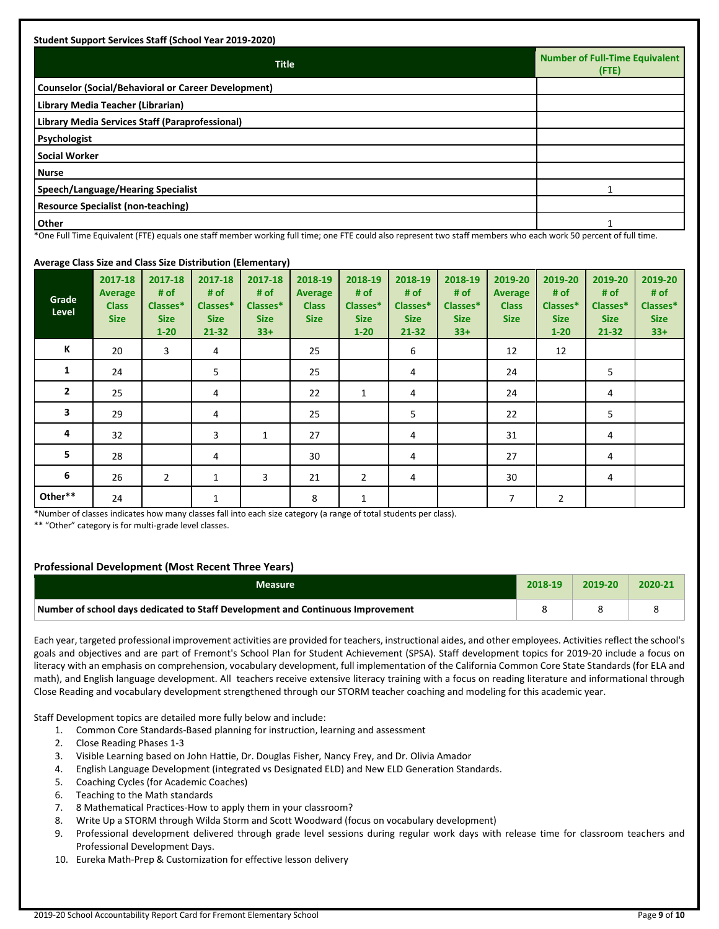| <b>Title</b>                                               | <b>Number of Full-Time Equivalent</b><br>$($ FTE $)$ |
|------------------------------------------------------------|------------------------------------------------------|
| <b>Counselor (Social/Behavioral or Career Development)</b> |                                                      |
| Library Media Teacher (Librarian)                          |                                                      |
| Library Media Services Staff (Paraprofessional)            |                                                      |
| Psychologist                                               |                                                      |
| <b>Social Worker</b>                                       |                                                      |
| <b>Nurse</b>                                               |                                                      |
| Speech/Language/Hearing Specialist                         |                                                      |
| <b>Resource Specialist (non-teaching)</b>                  |                                                      |
| <b>Other</b>                                               |                                                      |

\*One Full Time Equivalent (FTE) equals one staff member working full time; one FTE could also represent two staff members who each work 50 percent of full time.

#### **Average Class Size and Class Size Distribution (Elementary)**

| $\tilde{\phantom{a}}$<br>Grade<br>Level | 2017-18<br><b>Average</b><br><b>Class</b><br><b>Size</b> | 2017-18<br># of<br>Classes*<br><b>Size</b><br>$1 - 20$ | 2017-18<br># of<br>Classes*<br><b>Size</b><br>$21 - 32$ | . .<br>2017-18<br># of<br>Classes*<br><b>Size</b><br>$33+$ | 2018-19<br><b>Average</b><br><b>Class</b><br><b>Size</b> | 2018-19<br># of<br>Classes*<br><b>Size</b><br>$1 - 20$ | 2018-19<br># of<br>Classes*<br><b>Size</b><br>$21 - 32$ | 2018-19<br># of<br>Classes*<br><b>Size</b><br>$33+$ | 2019-20<br><b>Average</b><br><b>Class</b><br><b>Size</b> | 2019-20<br># of<br>Classes*<br><b>Size</b><br>$1 - 20$ | 2019-20<br># of<br>Classes*<br><b>Size</b><br>$21 - 32$ | 2019-20<br># of<br>Classes*<br><b>Size</b><br>$33+$ |
|-----------------------------------------|----------------------------------------------------------|--------------------------------------------------------|---------------------------------------------------------|------------------------------------------------------------|----------------------------------------------------------|--------------------------------------------------------|---------------------------------------------------------|-----------------------------------------------------|----------------------------------------------------------|--------------------------------------------------------|---------------------------------------------------------|-----------------------------------------------------|
| Κ                                       | 20                                                       | 3                                                      | 4                                                       |                                                            | 25                                                       |                                                        | 6                                                       |                                                     | 12                                                       | 12                                                     |                                                         |                                                     |
| 1                                       | 24                                                       |                                                        | 5                                                       |                                                            | 25                                                       |                                                        | 4                                                       |                                                     | 24                                                       |                                                        | 5                                                       |                                                     |
| $\overline{2}$                          | 25                                                       |                                                        | 4                                                       |                                                            | 22                                                       | 1                                                      | 4                                                       |                                                     | 24                                                       |                                                        | 4                                                       |                                                     |
| 3                                       | 29                                                       |                                                        | 4                                                       |                                                            | 25                                                       |                                                        | 5                                                       |                                                     | 22                                                       |                                                        | 5                                                       |                                                     |
| 4                                       | 32                                                       |                                                        | 3                                                       | 1                                                          | 27                                                       |                                                        | 4                                                       |                                                     | 31                                                       |                                                        | 4                                                       |                                                     |
| 5                                       | 28                                                       |                                                        | 4                                                       |                                                            | 30                                                       |                                                        | 4                                                       |                                                     | 27                                                       |                                                        | 4                                                       |                                                     |
| 6                                       | 26                                                       | $\overline{2}$                                         | $\mathbf{1}$                                            | 3                                                          | 21                                                       | $\overline{2}$                                         | 4                                                       |                                                     | 30                                                       |                                                        | 4                                                       |                                                     |
| Other**                                 | 24                                                       |                                                        | 1                                                       |                                                            | 8                                                        | 1                                                      |                                                         |                                                     | 7                                                        | 2                                                      |                                                         |                                                     |

\*Number of classes indicates how many classes fall into each size category (a range of total students per class).

\*\* "Other" category is for multi-grade level classes.

#### **Professional Development (Most Recent Three Years)**

| Measure                                                                         | 2018-19 | $2019 - 20$ | 2020-21 |
|---------------------------------------------------------------------------------|---------|-------------|---------|
| Number of school days dedicated to Staff Development and Continuous Improvement |         |             |         |

Each year, targeted professional improvement activities are provided for teachers, instructional aides, and other employees. Activities reflect the school's goals and objectives and are part of Fremont's School Plan for Student Achievement (SPSA). Staff development topics for 2019-20 include a focus on literacy with an emphasis on comprehension, vocabulary development, full implementation of the California Common Core State Standards (for ELA and math), and English language development. All teachers receive extensive literacy training with a focus on reading literature and informational through Close Reading and vocabulary development strengthened through our STORM teacher coaching and modeling for this academic year.

Staff Development topics are detailed more fully below and include:

- 1. Common Core Standards-Based planning for instruction, learning and assessment
- 2. Close Reading Phases 1-3
- 3. Visible Learning based on John Hattie, Dr. Douglas Fisher, Nancy Frey, and Dr. Olivia Amador
- 4. English Language Development (integrated vs Designated ELD) and New ELD Generation Standards.
- 5. Coaching Cycles (for Academic Coaches)
- 6. Teaching to the Math standards
- 7. 8 Mathematical Practices-How to apply them in your classroom?
- 8. Write Up a STORM through Wilda Storm and Scott Woodward (focus on vocabulary development)
- 9. Professional development delivered through grade level sessions during regular work days with release time for classroom teachers and Professional Development Days.
- 10. Eureka Math-Prep & Customization for effective lesson delivery